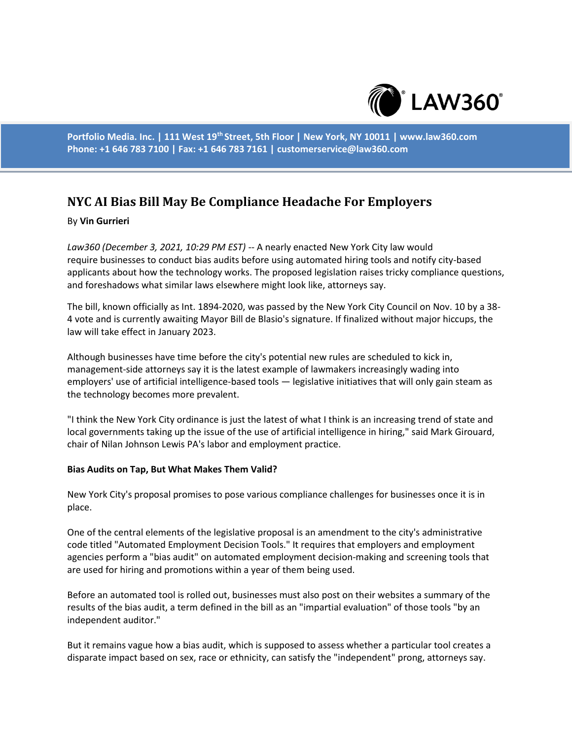

**Portfolio Media. Inc. | 111 West 19th Street, 5th Floor | New York, NY 10011 | www.law360.com Phone: +1 646 783 7100 | Fax: +1 646 783 7161 | customerservice@law360.com**

# **NYC AI Bias Bill May Be Compliance Headache For Employers**

### By **Vin Gurrieri**

*Law360 (December 3, 2021, 10:29 PM EST)* -- A nearly enacted New York City law would require businesses to conduct bias audits before using automated hiring tools and notify city-based applicants about how the technology works. The proposed legislation raises tricky compliance questions, and foreshadows what similar laws elsewhere might look like, attorneys say.

The bill, known officially as Int. 1894-2020, was passed by the New York City Council on Nov. 10 by a 38- 4 vote and is currently awaiting Mayor Bill de Blasio's signature. If finalized without major hiccups, the law will take effect in January 2023.

Although businesses have time before the city's potential new rules are scheduled to kick in, management-side attorneys say it is the latest example of lawmakers increasingly wading into employers' use of artificial intelligence-based tools — legislative initiatives that will only gain steam as the technology becomes more prevalent.

"I think the New York City ordinance is just the latest of what I think is an increasing trend of state and local governments taking up the issue of the use of artificial intelligence in hiring," said Mark Girouard, chair of Nilan Johnson Lewis PA's labor and employment practice.

#### **Bias Audits on Tap, But What Makes Them Valid?**

New York City's proposal promises to pose various compliance challenges for businesses once it is in place.

One of the central elements of the legislative proposal is an amendment to the city's administrative code titled "Automated Employment Decision Tools." It requires that employers and employment agencies perform a "bias audit" on automated employment decision-making and screening tools that are used for hiring and promotions within a year of them being used.

Before an automated tool is rolled out, businesses must also post on their websites a summary of the results of the bias audit, a term defined in the bill as an "impartial evaluation" of those tools "by an independent auditor."

But it remains vague how a bias audit, which is supposed to assess whether a particular tool creates a disparate impact based on sex, race or ethnicity, can satisfy the "independent" prong, attorneys say.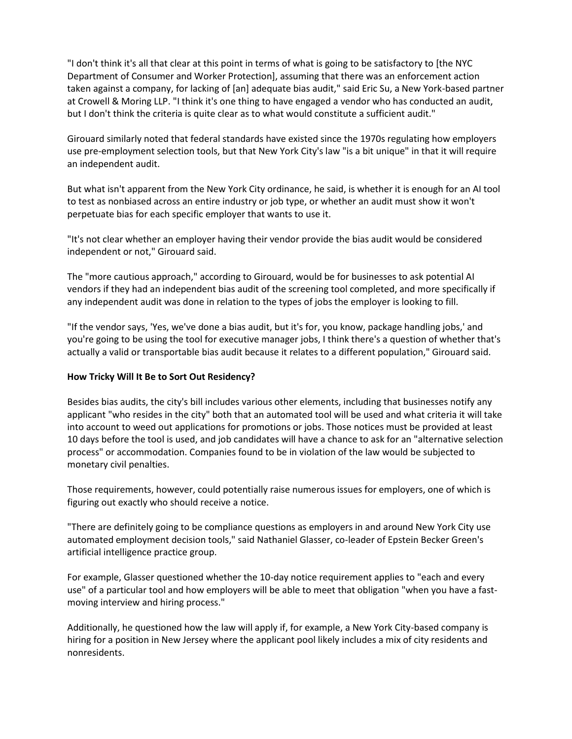"I don't think it's all that clear at this point in terms of what is going to be satisfactory to [the NYC Department of Consumer and Worker Protection], assuming that there was an enforcement action taken against a company, for lacking of [an] adequate bias audit," said Eric Su, a New York-based partner at Crowell & Moring LLP. "I think it's one thing to have engaged a vendor who has conducted an audit, but I don't think the criteria is quite clear as to what would constitute a sufficient audit."

Girouard similarly noted that federal standards have existed since the 1970s regulating how employers use pre-employment selection tools, but that New York City's law "is a bit unique" in that it will require an independent audit.

But what isn't apparent from the New York City ordinance, he said, is whether it is enough for an AI tool to test as nonbiased across an entire industry or job type, or whether an audit must show it won't perpetuate bias for each specific employer that wants to use it.

"It's not clear whether an employer having their vendor provide the bias audit would be considered independent or not," Girouard said.

The "more cautious approach," according to Girouard, would be for businesses to ask potential AI vendors if they had an independent bias audit of the screening tool completed, and more specifically if any independent audit was done in relation to the types of jobs the employer is looking to fill.

"If the vendor says, 'Yes, we've done a bias audit, but it's for, you know, package handling jobs,' and you're going to be using the tool for executive manager jobs, I think there's a question of whether that's actually a valid or transportable bias audit because it relates to a different population," Girouard said.

## **How Tricky Will It Be to Sort Out Residency?**

Besides bias audits, the city's bill includes various other elements, including that businesses notify any applicant "who resides in the city" both that an automated tool will be used and what criteria it will take into account to weed out applications for promotions or jobs. Those notices must be provided at least 10 days before the tool is used, and job candidates will have a chance to ask for an "alternative selection process" or accommodation. Companies found to be in violation of the law would be subjected to monetary civil penalties.

Those requirements, however, could potentially raise numerous issues for employers, one of which is figuring out exactly who should receive a notice.

"There are definitely going to be compliance questions as employers in and around New York City use automated employment decision tools," said Nathaniel Glasser, co-leader of Epstein Becker Green's artificial intelligence practice group.

For example, Glasser questioned whether the 10-day notice requirement applies to "each and every use" of a particular tool and how employers will be able to meet that obligation "when you have a fastmoving interview and hiring process."

Additionally, he questioned how the law will apply if, for example, a New York City-based company is hiring for a position in New Jersey where the applicant pool likely includes a mix of city residents and nonresidents.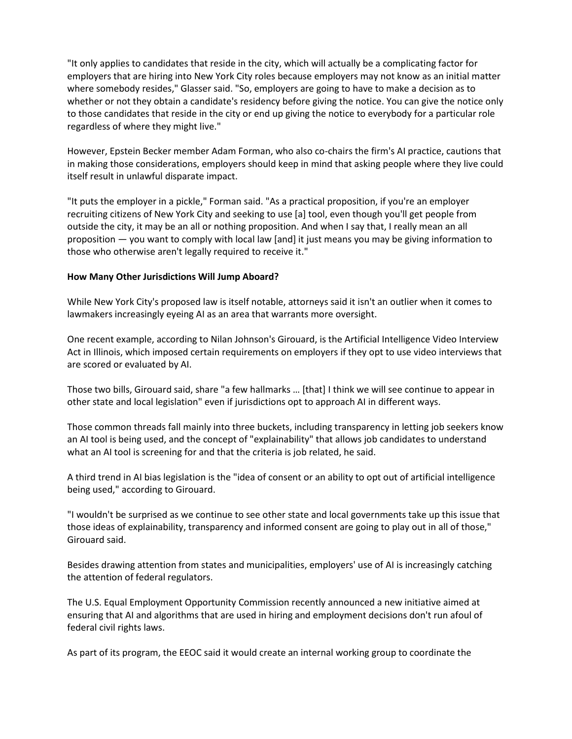"It only applies to candidates that reside in the city, which will actually be a complicating factor for employers that are hiring into New York City roles because employers may not know as an initial matter where somebody resides," Glasser said. "So, employers are going to have to make a decision as to whether or not they obtain a candidate's residency before giving the notice. You can give the notice only to those candidates that reside in the city or end up giving the notice to everybody for a particular role regardless of where they might live."

However, Epstein Becker member Adam Forman, who also co-chairs the firm's AI practice, cautions that in making those considerations, employers should keep in mind that asking people where they live could itself result in unlawful disparate impact.

"It puts the employer in a pickle," Forman said. "As a practical proposition, if you're an employer recruiting citizens of New York City and seeking to use [a] tool, even though you'll get people from outside the city, it may be an all or nothing proposition. And when I say that, I really mean an all proposition — you want to comply with local law [and] it just means you may be giving information to those who otherwise aren't legally required to receive it."

# **How Many Other Jurisdictions Will Jump Aboard?**

While New York City's proposed law is itself notable, attorneys said it isn't an outlier when it comes to lawmakers increasingly eyeing AI as an area that warrants more oversight.

One recent example, according to Nilan Johnson's Girouard, is the Artificial Intelligence Video Interview Act in Illinois, which imposed certain requirements on employers if they opt to use video interviews that are scored or evaluated by AI.

Those two bills, Girouard said, share "a few hallmarks … [that] I think we will see continue to appear in other state and local legislation" even if jurisdictions opt to approach AI in different ways.

Those common threads fall mainly into three buckets, including transparency in letting job seekers know an AI tool is being used, and the concept of "explainability" that allows job candidates to understand what an AI tool is screening for and that the criteria is job related, he said.

A third trend in AI bias legislation is the "idea of consent or an ability to opt out of artificial intelligence being used," according to Girouard.

"I wouldn't be surprised as we continue to see other state and local governments take up this issue that those ideas of explainability, transparency and informed consent are going to play out in all of those," Girouard said.

Besides drawing attention from states and municipalities, employers' use of AI is increasingly catching the attention of federal regulators.

The U.S. Equal Employment Opportunity Commission recently announced a new initiative aimed at ensuring that AI and algorithms that are used in hiring and employment decisions don't run afoul of federal civil rights laws.

As part of its program, the EEOC said it would create an internal working group to coordinate the